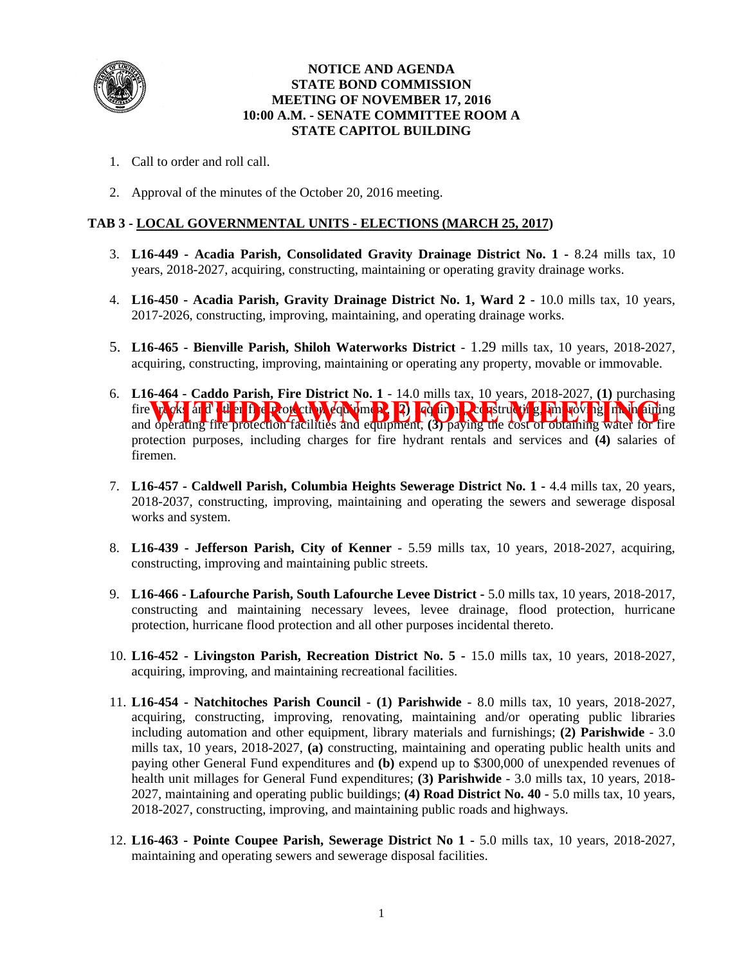

### **NOTICE AND AGENDA STATE BOND COMMISSION MEETING OF NOVEMBER 17, 2016 10:00 A.M. - SENATE COMMITTEE ROOM A STATE CAPITOL BUILDING**

- 1. Call to order and roll call.
- 2. Approval of the minutes of the October 20, 2016 meeting.

## **TAB 3 - LOCAL GOVERNMENTAL UNITS - ELECTIONS (MARCH 25, 2017)**

- 3. **L16-449 Acadia Parish, Consolidated Gravity Drainage District No. 1 -** 8.24 mills tax, 10 years, 2018-2027, acquiring, constructing, maintaining or operating gravity drainage works.
- 4. **L16-450 Acadia Parish, Gravity Drainage District No. 1, Ward 2** 10.0 mills tax, 10 years, 2017-2026, constructing, improving, maintaining, and operating drainage works.
- 5. **L16-465 Bienville Parish, Shiloh Waterworks District** 1.29 mills tax, 10 years, 2018-2027, acquiring, constructing, improving, maintaining or operating any property, movable or immovable.
- 6. **L16-464 Caddo Parish, Fire District No. 1** 14.0 mills tax, 10 years, 2018-2027, **(1)** purchasing fire trucks and det and the protection facilities and equipment, (3) paying the cost of obtaining water for fire and operating fire protection facilities and equipment, **(3)** paying the cost of obtaining water for fire protection purposes, including charges for fire hydrant rentals and services and **(4)** salaries of firemen.
- 7. **L16-457 Caldwell Parish, Columbia Heights Sewerage District No. 1 -** 4.4 mills tax, 20 years, 2018-2037, constructing, improving, maintaining and operating the sewers and sewerage disposal works and system.
- 8. **L16-439 Jefferson Parish, City of Kenner** 5.59 mills tax, 10 years, 2018-2027, acquiring, constructing, improving and maintaining public streets.
- 9. **L16-466 Lafourche Parish, South Lafourche Levee District** 5.0 mills tax, 10 years, 2018-2017, constructing and maintaining necessary levees, levee drainage, flood protection, hurricane protection, hurricane flood protection and all other purposes incidental thereto.
- 10. **L16-452 Livingston Parish, Recreation District No. 5 -** 15.0 mills tax, 10 years, 2018-2027, acquiring, improving, and maintaining recreational facilities.
- 11. **L16-454 Natchitoches Parish Council (1) Parishwide** 8.0 mills tax, 10 years, 2018-2027, acquiring, constructing, improving, renovating, maintaining and/or operating public libraries including automation and other equipment, library materials and furnishings; **(2) Parishwide** - 3.0 mills tax, 10 years, 2018-2027, **(a)** constructing, maintaining and operating public health units and paying other General Fund expenditures and **(b)** expend up to \$300,000 of unexpended revenues of health unit millages for General Fund expenditures; **(3) Parishwide** - 3.0 mills tax, 10 years, 2018- 2027, maintaining and operating public buildings; **(4) Road District No. 40** - 5.0 mills tax, 10 years, 2018-2027, constructing, improving, and maintaining public roads and highways.
- 12. **L16-463 Pointe Coupee Parish, Sewerage District No 1 -** 5.0 mills tax, 10 years, 2018-2027, maintaining and operating sewers and sewerage disposal facilities.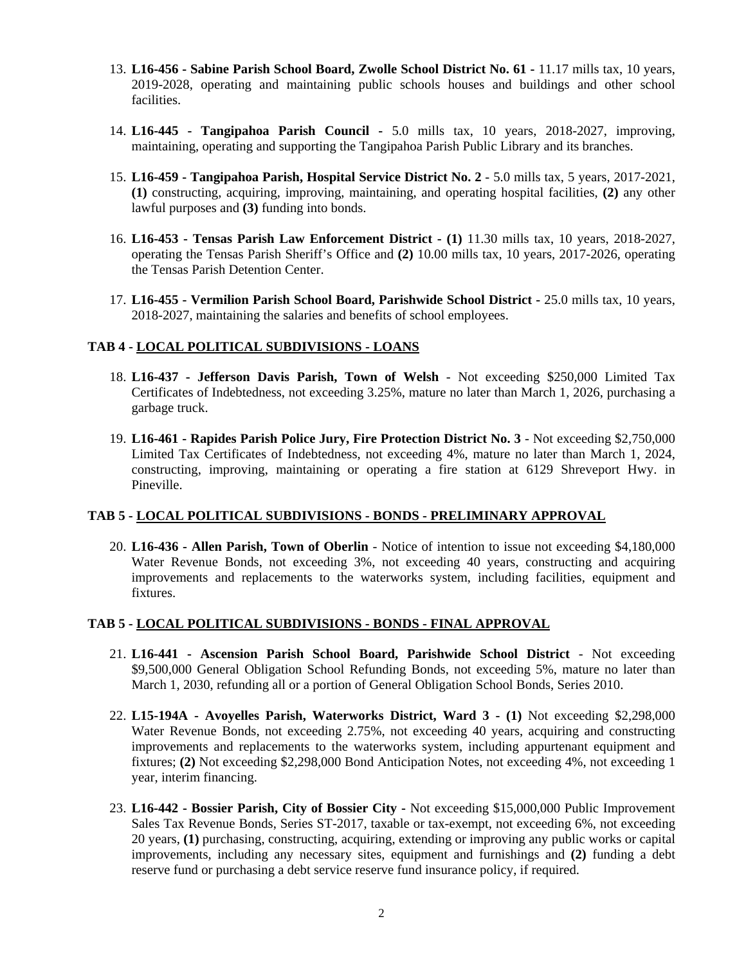- 13. **L16-456 Sabine Parish School Board, Zwolle School District No. 61** 11.17 mills tax, 10 years, 2019-2028, operating and maintaining public schools houses and buildings and other school facilities.
- 14. **L16-445 Tangipahoa Parish Council** 5.0 mills tax, 10 years, 2018-2027, improving, maintaining, operating and supporting the Tangipahoa Parish Public Library and its branches.
- 15. **L16-459 Tangipahoa Parish, Hospital Service District No. 2** 5.0 mills tax, 5 years, 2017-2021, **(1)** constructing, acquiring, improving, maintaining, and operating hospital facilities, **(2)** any other lawful purposes and **(3)** funding into bonds.
- 16. **L16-453 Tensas Parish Law Enforcement District (1)** 11.30 mills tax, 10 years, 2018-2027, operating the Tensas Parish Sheriff's Office and **(2)** 10.00 mills tax, 10 years, 2017-2026, operating the Tensas Parish Detention Center.
- 17. **L16-455 Vermilion Parish School Board, Parishwide School District -** 25.0 mills tax, 10 years, 2018-2027, maintaining the salaries and benefits of school employees.

#### **TAB 4 - LOCAL POLITICAL SUBDIVISIONS - LOANS**

- 18. **L16-437 Jefferson Davis Parish, Town of Welsh** Not exceeding \$250,000 Limited Tax Certificates of Indebtedness, not exceeding 3.25%, mature no later than March 1, 2026, purchasing a garbage truck.
- 19. **L16-461 Rapides Parish Police Jury, Fire Protection District No. 3** Not exceeding \$2,750,000 Limited Tax Certificates of Indebtedness, not exceeding 4%, mature no later than March 1, 2024, constructing, improving, maintaining or operating a fire station at 6129 Shreveport Hwy. in Pineville.

# **TAB 5 - LOCAL POLITICAL SUBDIVISIONS - BONDS - PRELIMINARY APPROVAL**

20. **L16-436 - Allen Parish, Town of Oberlin** - Notice of intention to issue not exceeding \$4,180,000 Water Revenue Bonds, not exceeding 3%, not exceeding 40 years, constructing and acquiring improvements and replacements to the waterworks system, including facilities, equipment and fixtures.

#### **TAB 5 - LOCAL POLITICAL SUBDIVISIONS - BONDS - FINAL APPROVAL**

- 21. **L16-441 Ascension Parish School Board, Parishwide School District** Not exceeding \$9,500,000 General Obligation School Refunding Bonds, not exceeding 5%, mature no later than March 1, 2030, refunding all or a portion of General Obligation School Bonds, Series 2010.
- 22. **L15-194A Avoyelles Parish, Waterworks District, Ward 3 - (1)** Not exceeding \$2,298,000 Water Revenue Bonds, not exceeding 2.75%, not exceeding 40 years, acquiring and constructing improvements and replacements to the waterworks system, including appurtenant equipment and fixtures; **(2)** Not exceeding \$2,298,000 Bond Anticipation Notes, not exceeding 4%, not exceeding 1 year, interim financing.
- 23. **L16-442 Bossier Parish, City of Bossier City** Not exceeding \$15,000,000 Public Improvement Sales Tax Revenue Bonds, Series ST-2017, taxable or tax-exempt, not exceeding 6%, not exceeding 20 years, **(1)** purchasing, constructing, acquiring, extending or improving any public works or capital improvements, including any necessary sites, equipment and furnishings and **(2)** funding a debt reserve fund or purchasing a debt service reserve fund insurance policy, if required.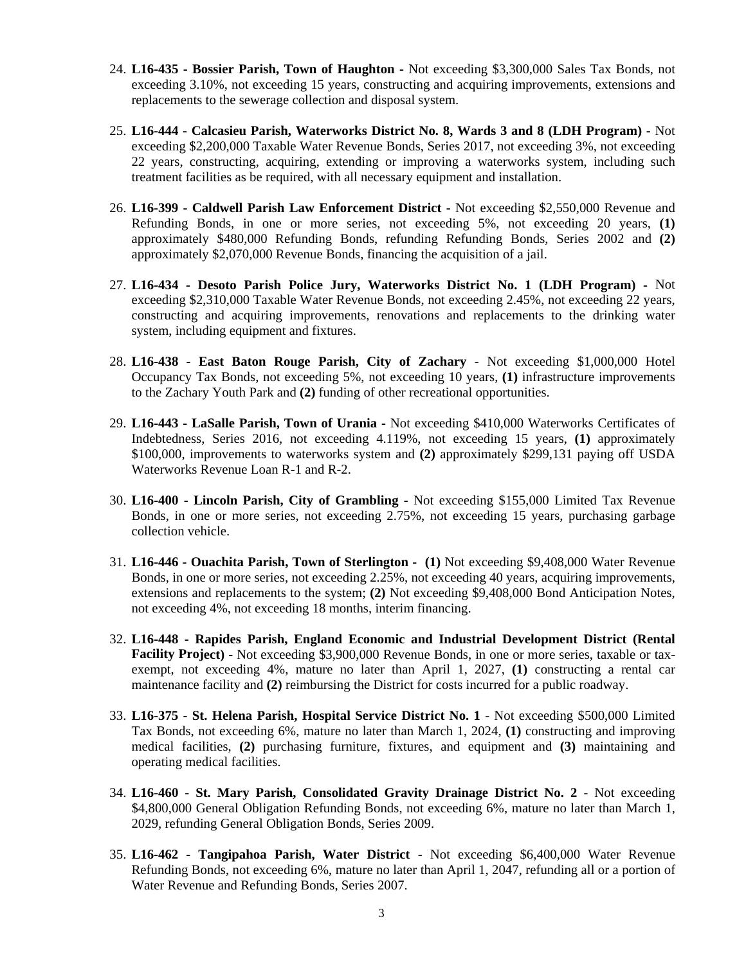- 24. **L16-435 Bossier Parish, Town of Haughton** Not exceeding \$3,300,000 Sales Tax Bonds, not exceeding 3.10%, not exceeding 15 years, constructing and acquiring improvements, extensions and replacements to the sewerage collection and disposal system.
- 25. **L16-444 Calcasieu Parish, Waterworks District No. 8, Wards 3 and 8 (LDH Program) -** Not exceeding \$2,200,000 Taxable Water Revenue Bonds, Series 2017, not exceeding 3%, not exceeding 22 years, constructing, acquiring, extending or improving a waterworks system, including such treatment facilities as be required, with all necessary equipment and installation.
- 26. **L16-399 Caldwell Parish Law Enforcement District -** Not exceeding \$2,550,000 Revenue and Refunding Bonds, in one or more series, not exceeding 5%, not exceeding 20 years, **(1)** approximately \$480,000 Refunding Bonds, refunding Refunding Bonds, Series 2002 and **(2)** approximately \$2,070,000 Revenue Bonds, financing the acquisition of a jail.
- 27. **L16-434 Desoto Parish Police Jury, Waterworks District No. 1 (LDH Program) -** Not exceeding \$2,310,000 Taxable Water Revenue Bonds, not exceeding 2.45%, not exceeding 22 years, constructing and acquiring improvements, renovations and replacements to the drinking water system, including equipment and fixtures.
- 28. **L16-438 East Baton Rouge Parish, City of Zachary** Not exceeding \$1,000,000 Hotel Occupancy Tax Bonds, not exceeding 5%, not exceeding 10 years, **(1)** infrastructure improvements to the Zachary Youth Park and **(2)** funding of other recreational opportunities.
- 29. **L16-443 LaSalle Parish, Town of Urania -** Not exceeding \$410,000 Waterworks Certificates of Indebtedness, Series 2016, not exceeding 4.119%, not exceeding 15 years, **(1)** approximately \$100,000, improvements to waterworks system and **(2)** approximately \$299,131 paying off USDA Waterworks Revenue Loan R-1 and R-2.
- 30. **L16-400 Lincoln Parish, City of Grambling** Not exceeding \$155,000 Limited Tax Revenue Bonds, in one or more series, not exceeding 2.75%, not exceeding 15 years, purchasing garbage collection vehicle.
- 31. **L16-446 Ouachita Parish, Town of Sterlington (1)** Not exceeding \$9,408,000 Water Revenue Bonds, in one or more series, not exceeding 2.25%, not exceeding 40 years, acquiring improvements, extensions and replacements to the system; **(2)** Not exceeding \$9,408,000 Bond Anticipation Notes, not exceeding 4%, not exceeding 18 months, interim financing.
- 32. **L16-448 Rapides Parish, England Economic and Industrial Development District (Rental Facility Project) -** Not exceeding \$3,900,000 Revenue Bonds, in one or more series, taxable or taxexempt, not exceeding 4%, mature no later than April 1, 2027, **(1)** constructing a rental car maintenance facility and **(2)** reimbursing the District for costs incurred for a public roadway.
- 33. **L16-375 St. Helena Parish, Hospital Service District No. 1** Not exceeding \$500,000 Limited Tax Bonds, not exceeding 6%, mature no later than March 1, 2024, **(1)** constructing and improving medical facilities, **(2)** purchasing furniture, fixtures, and equipment and **(3)** maintaining and operating medical facilities.
- 34. **L16-460 St. Mary Parish, Consolidated Gravity Drainage District No. 2** Not exceeding \$4,800,000 General Obligation Refunding Bonds, not exceeding 6%, mature no later than March 1, 2029, refunding General Obligation Bonds, Series 2009.
- 35. **L16-462 Tangipahoa Parish, Water District** Not exceeding \$6,400,000 Water Revenue Refunding Bonds, not exceeding 6%, mature no later than April 1, 2047, refunding all or a portion of Water Revenue and Refunding Bonds, Series 2007.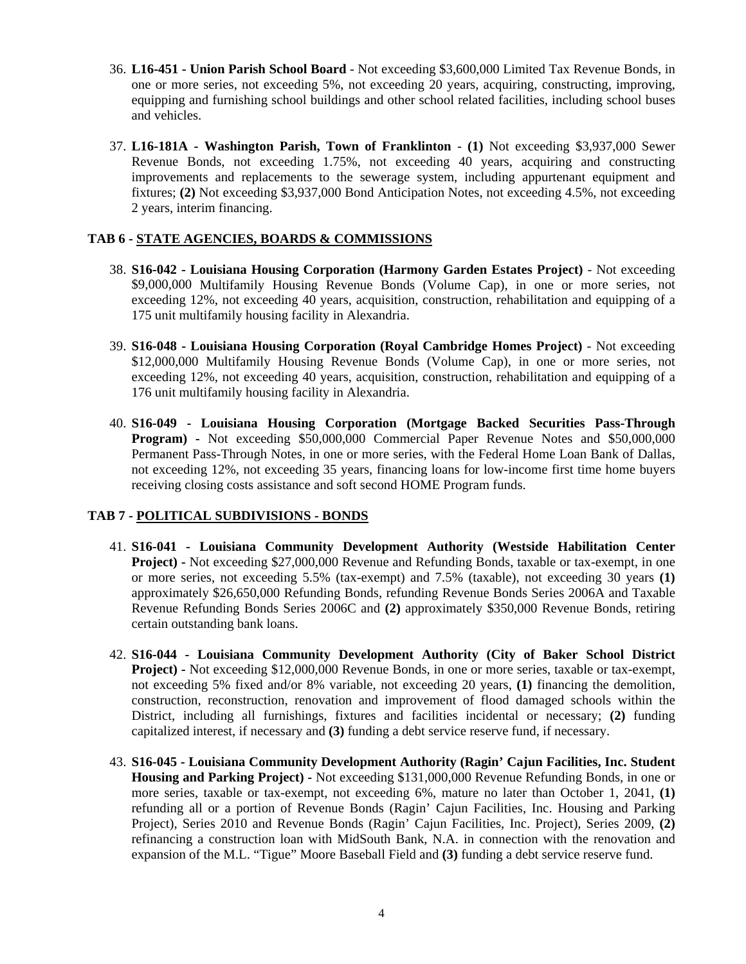- 36. **L16-451 Union Parish School Board** Not exceeding \$3,600,000 Limited Tax Revenue Bonds, in one or more series, not exceeding 5%, not exceeding 20 years, acquiring, constructing, improving, equipping and furnishing school buildings and other school related facilities, including school buses and vehicles.
- 37. **L16-181A Washington Parish, Town of Franklinton (1)** Not exceeding \$3,937,000 Sewer Revenue Bonds, not exceeding 1.75%, not exceeding 40 years, acquiring and constructing improvements and replacements to the sewerage system, including appurtenant equipment and fixtures; **(2)** Not exceeding \$3,937,000 Bond Anticipation Notes, not exceeding 4.5%, not exceeding 2 years, interim financing.

### **TAB 6 - STATE AGENCIES, BOARDS & COMMISSIONS**

- 38. **S16-042 Louisiana Housing Corporation (Harmony Garden Estates Project)** Not exceeding \$9,000,000 Multifamily Housing Revenue Bonds (Volume Cap), in one or more series, not exceeding 12%, not exceeding 40 years, acquisition, construction, rehabilitation and equipping of a 175 unit multifamily housing facility in Alexandria.
- 39. **S16-048 Louisiana Housing Corporation (Royal Cambridge Homes Project)** Not exceeding \$12,000,000 Multifamily Housing Revenue Bonds (Volume Cap), in one or more series, not exceeding 12%, not exceeding 40 years, acquisition, construction, rehabilitation and equipping of a 176 unit multifamily housing facility in Alexandria.
- 40. **S16-049 Louisiana Housing Corporation (Mortgage Backed Securities Pass-Through Program) -** Not exceeding \$50,000,000 Commercial Paper Revenue Notes and \$50,000,000 Permanent Pass-Through Notes, in one or more series, with the Federal Home Loan Bank of Dallas, not exceeding 12%, not exceeding 35 years, financing loans for low-income first time home buyers receiving closing costs assistance and soft second HOME Program funds.

# **TAB 7 - POLITICAL SUBDIVISIONS - BONDS**

- 41. **S16-041 Louisiana Community Development Authority (Westside Habilitation Center Project) -** Not exceeding \$27,000,000 Revenue and Refunding Bonds, taxable or tax-exempt, in one or more series, not exceeding 5.5% (tax-exempt) and 7.5% (taxable), not exceeding 30 years **(1)** approximately \$26,650,000 Refunding Bonds, refunding Revenue Bonds Series 2006A and Taxable Revenue Refunding Bonds Series 2006C and **(2)** approximately \$350,000 Revenue Bonds, retiring certain outstanding bank loans.
- 42. **S16-044 Louisiana Community Development Authority (City of Baker School District Project) -** Not exceeding \$12,000,000 Revenue Bonds, in one or more series, taxable or tax-exempt, not exceeding 5% fixed and/or 8% variable, not exceeding 20 years, **(1)** financing the demolition, construction, reconstruction, renovation and improvement of flood damaged schools within the District, including all furnishings, fixtures and facilities incidental or necessary; **(2)** funding capitalized interest, if necessary and **(3)** funding a debt service reserve fund, if necessary.
- 43. **S16-045 Louisiana Community Development Authority (Ragin' Cajun Facilities, Inc. Student Housing and Parking Project) -** Not exceeding \$131,000,000 Revenue Refunding Bonds, in one or more series, taxable or tax-exempt, not exceeding 6%, mature no later than October 1, 2041, **(1)** refunding all or a portion of Revenue Bonds (Ragin' Cajun Facilities, Inc. Housing and Parking Project), Series 2010 and Revenue Bonds (Ragin' Cajun Facilities, Inc. Project), Series 2009, **(2)** refinancing a construction loan with MidSouth Bank, N.A. in connection with the renovation and expansion of the M.L. "Tigue" Moore Baseball Field and **(3)** funding a debt service reserve fund.